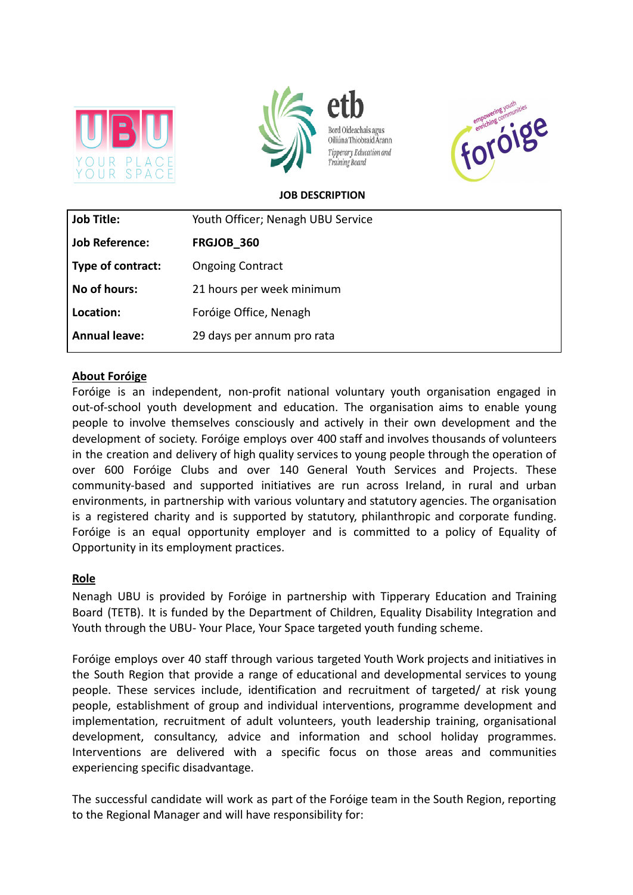







#### **JOB DESCRIPTION**

| <b>Job Title:</b>     | Youth Officer; Nenagh UBU Service |
|-----------------------|-----------------------------------|
| <b>Job Reference:</b> | FRGJOB 360                        |
| Type of contract:     | <b>Ongoing Contract</b>           |
| No of hours:          | 21 hours per week minimum         |
| Location:             | Foróige Office, Nenagh            |
| <b>Annual leave:</b>  | 29 days per annum pro rata        |

#### **About Foróige**

Foróige is an independent, non-profit national voluntary youth organisation engaged in out-of-school youth development and education. The organisation aims to enable young people to involve themselves consciously and actively in their own development and the development of society. Foróige employs over 400 staff and involves thousands of volunteers in the creation and delivery of high quality services to young people through the operation of over 600 Foróige Clubs and over 140 General Youth Services and Projects. These community-based and supported initiatives are run across Ireland, in rural and urban environments, in partnership with various voluntary and statutory agencies. The organisation is a registered charity and is supported by statutory, philanthropic and corporate funding. Foróige is an equal opportunity employer and is committed to a policy of Equality of Opportunity in its employment practices.

### **Role**

Nenagh UBU is provided by Foróige in partnership with Tipperary Education and Training Board (TETB). It is funded by the Department of Children, Equality Disability Integration and Youth through the UBU- Your Place, Your Space targeted youth funding scheme.

Foróige employs over 40 staff through various targeted Youth Work projects and initiatives in the South Region that provide a range of educational and developmental services to young people. These services include, identification and recruitment of targeted/ at risk young people, establishment of group and individual interventions, programme development and implementation, recruitment of adult volunteers, youth leadership training, organisational development, consultancy, advice and information and school holiday programmes. Interventions are delivered with a specific focus on those areas and communities experiencing specific disadvantage.

The successful candidate will work as part of the Foróige team in the South Region, reporting to the Regional Manager and will have responsibility for: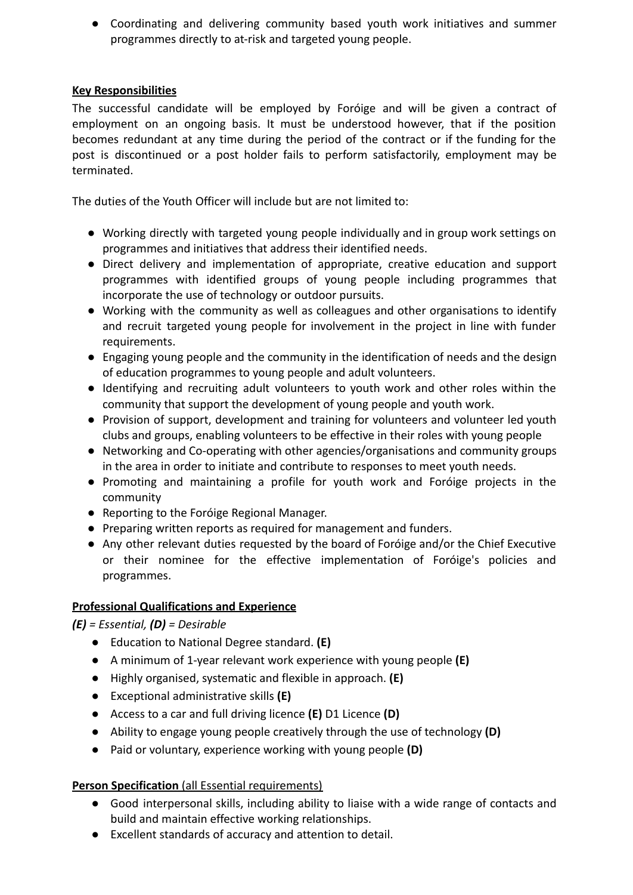● Coordinating and delivering community based youth work initiatives and summer programmes directly to at-risk and targeted young people.

## **Key Responsibilities**

The successful candidate will be employed by Foróige and will be given a contract of employment on an ongoing basis. It must be understood however, that if the position becomes redundant at any time during the period of the contract or if the funding for the post is discontinued or a post holder fails to perform satisfactorily, employment may be terminated.

The duties of the Youth Officer will include but are not limited to:

- Working directly with targeted young people individually and in group work settings on programmes and initiatives that address their identified needs.
- Direct delivery and implementation of appropriate, creative education and support programmes with identified groups of young people including programmes that incorporate the use of technology or outdoor pursuits.
- Working with the community as well as colleagues and other organisations to identify and recruit targeted young people for involvement in the project in line with funder requirements.
- Engaging young people and the community in the identification of needs and the design of education programmes to young people and adult volunteers.
- Identifying and recruiting adult volunteers to youth work and other roles within the community that support the development of young people and youth work.
- Provision of support, development and training for volunteers and volunteer led youth clubs and groups, enabling volunteers to be effective in their roles with young people
- Networking and Co-operating with other agencies/organisations and community groups in the area in order to initiate and contribute to responses to meet youth needs.
- Promoting and maintaining a profile for youth work and Foróige projects in the community
- Reporting to the Foróige Regional Manager.
- Preparing written reports as required for management and funders.
- Any other relevant duties requested by the board of Foróige and/or the Chief Executive or their nominee for the effective implementation of Foróige's policies and programmes.

# **Professional Qualifications and Experience**

*(E) = Essential, (D) = Desirable*

- Education to National Degree standard. **(E)**
- A minimum of 1-year relevant work experience with young people **(E)**
- Highly organised, systematic and flexible in approach. **(E)**
- Exceptional administrative skills **(E)**
- Access to a car and full driving licence **(E)** D1 Licence **(D)**
- Ability to engage young people creatively through the use of technology **(D)**
- Paid or voluntary, experience working with young people **(D)**

# **Person Specification** (all Essential requirements)

- Good interpersonal skills, including ability to liaise with a wide range of contacts and build and maintain effective working relationships.
- Excellent standards of accuracy and attention to detail.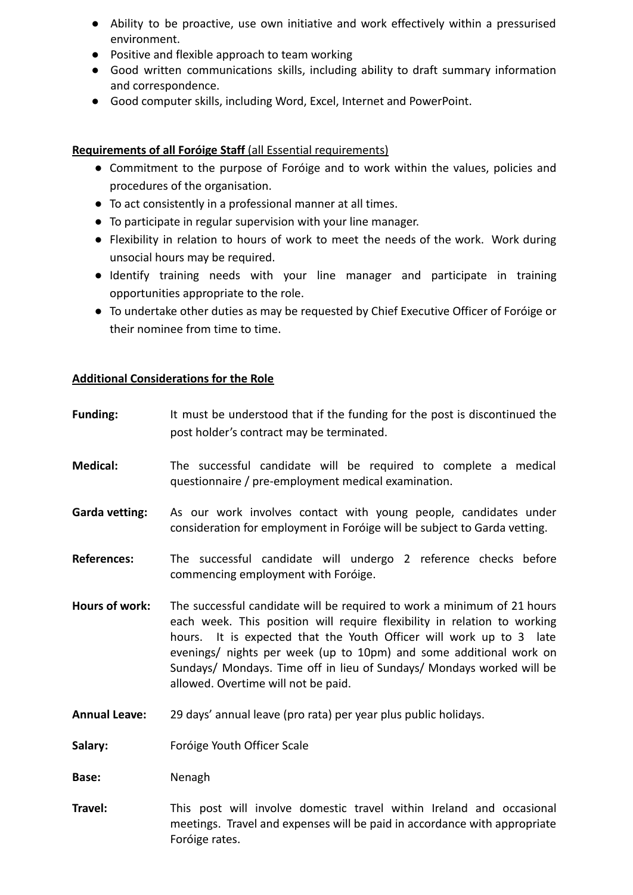- Ability to be proactive, use own initiative and work effectively within a pressurised environment.
- Positive and flexible approach to team working
- Good written communications skills, including ability to draft summary information and correspondence.
- Good computer skills, including Word, Excel, Internet and PowerPoint.

### **Requirements of all Foróige Staff** (all Essential requirements)

- Commitment to the purpose of Foróige and to work within the values, policies and procedures of the organisation.
- To act consistently in a professional manner at all times.
- To participate in regular supervision with your line manager.
- Flexibility in relation to hours of work to meet the needs of the work. Work during unsocial hours may be required.
- Identify training needs with your line manager and participate in training opportunities appropriate to the role.
- To undertake other duties as may be requested by Chief Executive Officer of Foróige or their nominee from time to time.

## **Additional Considerations for the Role**

Foróige rates.

| <b>Funding:</b>       | It must be understood that if the funding for the post is discontinued the<br>post holder's contract may be terminated.                                                                                                                                                                                                                                                                                          |
|-----------------------|------------------------------------------------------------------------------------------------------------------------------------------------------------------------------------------------------------------------------------------------------------------------------------------------------------------------------------------------------------------------------------------------------------------|
| <b>Medical:</b>       | The successful candidate will be required to complete a medical<br>questionnaire / pre-employment medical examination.                                                                                                                                                                                                                                                                                           |
| <b>Garda vetting:</b> | As our work involves contact with young people, candidates under<br>consideration for employment in Foróige will be subject to Garda vetting.                                                                                                                                                                                                                                                                    |
| <b>References:</b>    | The successful candidate will undergo 2 reference checks before<br>commencing employment with Foróige.                                                                                                                                                                                                                                                                                                           |
| <b>Hours of work:</b> | The successful candidate will be required to work a minimum of 21 hours<br>each week. This position will require flexibility in relation to working<br>hours. It is expected that the Youth Officer will work up to 3 late<br>evenings/ nights per week (up to 10pm) and some additional work on<br>Sundays/ Mondays. Time off in lieu of Sundays/ Mondays worked will be<br>allowed. Overtime will not be paid. |
| <b>Annual Leave:</b>  | 29 days' annual leave (pro rata) per year plus public holidays.                                                                                                                                                                                                                                                                                                                                                  |
| Salary:               | Foróige Youth Officer Scale                                                                                                                                                                                                                                                                                                                                                                                      |
| Base:                 | Nenagh                                                                                                                                                                                                                                                                                                                                                                                                           |
| Travel:               | This post will involve domestic travel within Ireland and occasional                                                                                                                                                                                                                                                                                                                                             |

meetings. Travel and expenses will be paid in accordance with appropriate